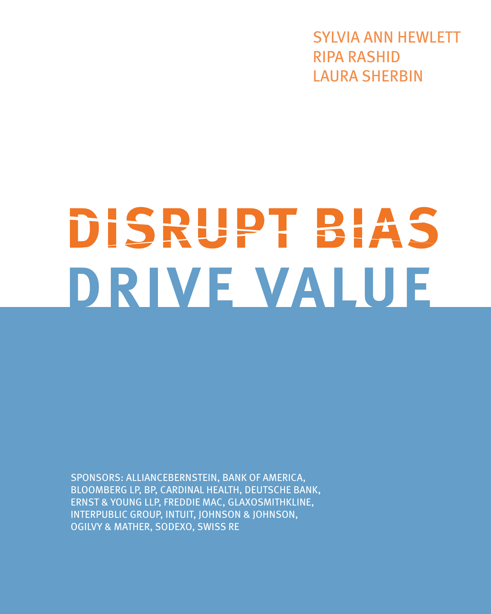SYLVIA ANN HEWLETT RIPA RASHID LAURA SHERBIN

# DISRUPT BIAS DRIVE VALUE

SPONSORS: ALLIANCEBERNSTEIN, BANK OF AMERICA, BLOOMBERG LP, BP, CARDINAL HEALTH, DEUTSCHE BANK, ERNST & YOUNG LLP, FREDDIE MAC, GLAXOSMITHKLINE, INTERPUBLIC GROUP, INTUIT, JOHNSON & JOHNSON, OGILVY & MATHER, SODEXO, SWISS RE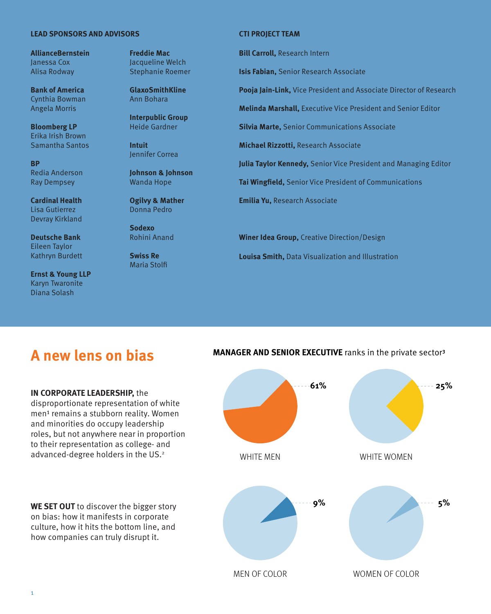#### **LEAD SPONSORS AND ADVISORS CTI PROJECT TEAM**

**AllianceBernstein** Janessa Cox Alisa Rodway

**Bank of America**  Cynthia Bowman Angela Morris

**Bloomberg LP**  Erika Irish Brown Samantha Santos

**BP**  Redia Anderson Ray Dempsey

**Cardinal Health**  Lisa Gutierrez Devray Kirkland

**Deutsche Bank**  Eileen Taylor Kathryn Burdett

**Ernst & Young LLP** Karyn Twaronite Diana Solash

**Freddie Mac** Jacqueline Welch Stephanie Roemer

**GlaxoSmithKline**  Ann Bohara

**Interpublic Group**  Heide Gardner

**Intuit** Jennifer Correa

**Johnson & Johnson**  Wanda Hope

**Ogilvy & Mather** Donna Pedro

**Sodexo** Rohini Anand

**Swiss Re** Maria Stolfi

**Bill Carroll,** Research Intern

**Isis Fabian,** Senior Research Associate

**Pooja Jain-Link,** Vice President and Associate Director of Research

**Melinda Marshall,** Executive Vice President and Senior Editor

**Silvia Marte,** Senior Communications Associate

**Michael Rizzotti,** Research Associate

**Julia Taylor Kennedy,** Senior Vice President and Managing Editor

**Tai Wingfield,** Senior Vice President of Communications

**Emilia Yu,** Research Associate

**Winer Idea Group,** Creative Direction/Design **Louisa Smith,** Data Visualization and Illustration

## **A new lens on bias**

#### **IN CORPORATE LEADERSHIP,** the

disproportionate representation of white men<sup>1</sup> remains a stubborn reality. Women and minorities do occupy leadership roles, but not anywhere near in proportion to their representation as college- and advanced-degree holders in the US.<sup>2</sup>

**WE SET OUT** to discover the bigger story on bias: how it manifests in corporate culture, how it hits the bottom line, and how companies can truly disrupt it.

#### **MANAGER AND SENIOR EXECUTIVE** ranks in the private sector

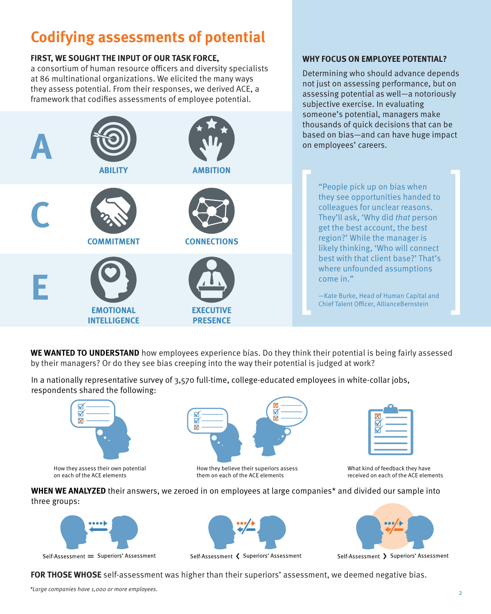## **Codifying assessments of potential**

### **FIRST, WE SOUGHT THE INPUT OF OUR TASK FORCE,**

a consortium of human resource officers and diversity specialists at 86 multinational organizations. We elicited the many ways they assess potential. From their responses, we derived ACE, a framework that codifies assessments of employee potential.

#### **WHY FOCUS ON EMPLOYEE POTENTIAL?**

Determining who should advance depends not just on assessing performance, but on assessing potential as well—a notoriously subjective exercise. In evaluating someone's potential, managers make thousands of quick decisions that can be based on bias—and can have huge impact on employees' careers.



"People pick up on bias when they see opportunities handed to colleagues for unclear reasons. They'll ask, 'Why did that person get the best account, the best region?' While the manager is likely thinking, 'Who will connect best with that client base?' That's where unfounded assumptions come in."

—Kate Burke, Head of Human Capital and Chief Talent Officer, AllianceBernstein

**WE WANTED TO UNDERSTAND** how employees experience bias. Do they think their potential is being fairly assessed by their managers? Or do they see bias creeping into the way their potential is judged at work?

In a nationally representative survey of 3,570 full-time, college-educated employees in white-collar jobs, respondents shared the following:



How they assess their own potential on each of the ACE elements



How they believe their superiors assess them on each of the ACE elements

| Б |  |
|---|--|
|   |  |
|   |  |

What kind of feedback they have received on each of the ACE elements

**WHEN WE ANALYZED** their answers, we zeroed in on employees at large companies\* and divided our sample into three groups:



Self-Assessment = Superiors' Assessment



Self-Assessment < Superiors' Assessment



Self-Assessment > Superiors' Assessment

**FOR THOSE WHOSE** self-assessment was higher than their superiors' assessment, we deemed negative bias.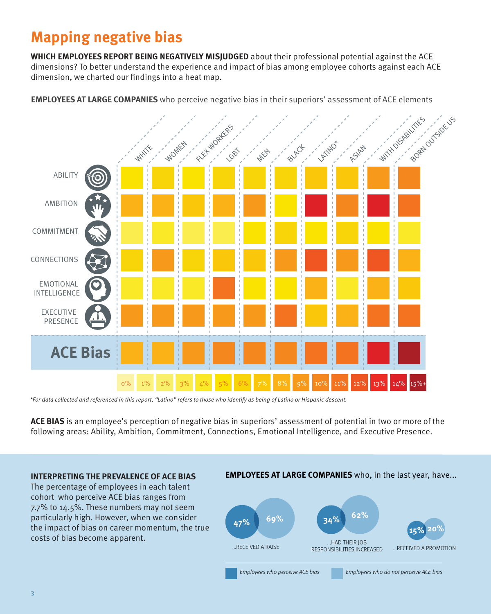## **Mapping negative bias**

**WHICH EMPLOYEES REPORT BEING NEGATIVELY MISJUDGED** about their professional potential against the ACE dimensions? To better understand the experience and impact of bias among employee cohorts against each ACE dimension, we charted our findings into a heat map.

**EMPLOYEES AT LARGE COMPANIES** who perceive negative bias in their superiors' assessment of ACE elements



\*For data collected and referenced in this report, "Latino" refers to those who identify as being of Latino or Hispanic descent.

**ACE BIAS** is an employee's perception of negative bias in superiors' assessment of potential in two or more of the following areas: Ability, Ambition, Commitment, Connections, Emotional Intelligence, and Executive Presence.

#### **INTERPRETING THE PREVALENCE OF ACE BIAS**

The percentage of employees in each talent cohort who perceive ACE bias ranges from 7.7% to 14.5%. These numbers may not seem particularly high. However, when we consider the impact of bias on career momentum, the true costs of bias become apparent.

#### **EMPLOYEES AT LARGE COMPANIES** who, in the last year, have...

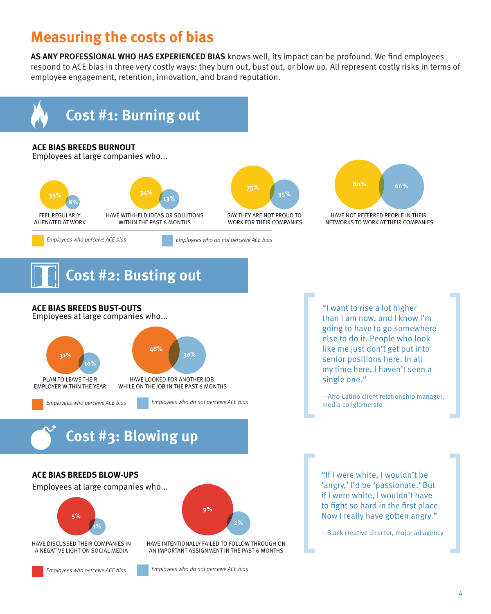## **Measuring the costs of bias**

**AS ANY PROFESSIONAL WHO HAS EXPERIENCED BIAS** knows well, its impact can be profound. We find employees respond to ACE bias in three very costly ways: they burn out, bust out, or blow up. All represent costly risks in terms of employee engagement, retention, innovation, and brand reputation.



## **Cost #2: Busting out**

**ACE BIAS BREEDS BUST-OUTS**

Employees at large companies who...



"I want to rise a lot higher than I am now, and I know I'm going to have to go somewhere else to do it. People who look like me just don't get put into senior positions here. In all my time here, I haven't seen a single one."

—Afro-Latino client relationship manager, media conglomerate

**Cost #3: Blowing up**

#### **ACE BIAS BREEDS BLOW-UPS**

Employees at large companies who...



HAVE DISCUSSED THEIR COMPANIES IN A NEGATIVE LIGHT ON SOCIAL MEDIA





HAVE INTENTIONALLY FAILED TO FOLLOW THROUGH ON AN IMPORTANT ASSIGNMENT IN THE PAST 6 MONTHS

Employees who perceive ACE bias Employees who do not perceive ACE bias

"If I were white, I wouldn't be 'angry,' I'd be 'passionate.' But if I were white, I wouldn't have to fight so hard in the first place. Now I really have gotten angry."

—Black creative director, major ad agency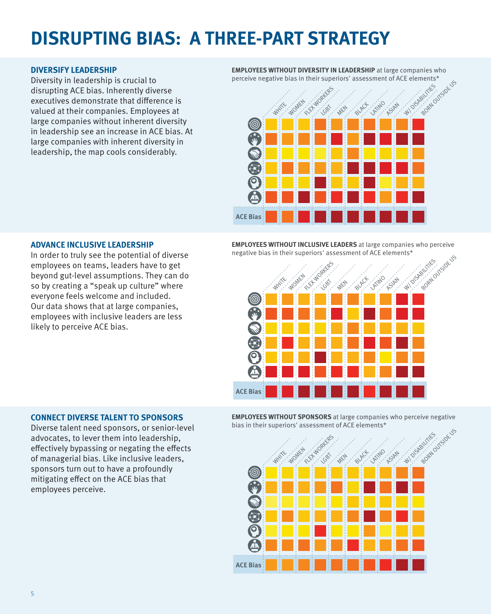## **DISRUPTING BIAS: A THREE-PART STRATEGY**

#### **DIVERSIFY LEADERSHIP**

Diversity in leadership is crucial to disrupting ACE bias. Inherently diverse executives demonstrate that difference is valued at their companies. Employees at large companies without inherent diversity in leadership see an increase in ACE bias. At large companies with inherent diversity in leadership, the map cools considerably.

**EMPLOYEES WITHOUT DIVERSITY IN LEADERSHIP** at large companies who perceive negative bias in their superiors' assessment of ACE elements\*



#### **ADVANCE INCLUSIVE LEADERSHIP**

In order to truly see the potential of diverse employees on teams, leaders have to get beyond gut-level assumptions. They can do so by creating a "speak up culture" where everyone feels welcome and included. Our data shows that at large companies, employees with inclusive leaders are less likely to perceive ACE bias.

**EMPLOYEES WITHOUT INCLUSIVE LEADERS** at large companies who perceive negative bias in their superiors' assessment of ACE elements\*



#### **CONNECT DIVERSE TALENT TO SPONSORS**

Diverse talent need sponsors, or senior-level advocates, to lever them into leadership, effectively bypassing or negating the effects of managerial bias. Like inclusive leaders, sponsors turn out to have a profoundly mitigating effect on the ACE bias that employees perceive.

**EMPLOYEES WITHOUT SPONSORS** at large companieswho perceive negative bias in their superiors' assessment of ACE elements\*

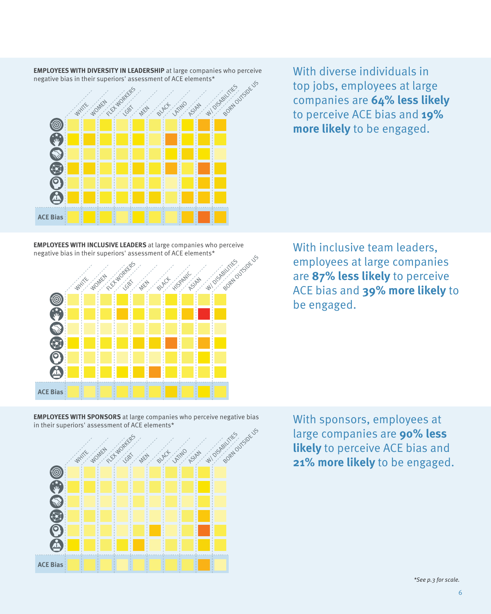

**EMPLOYEES WITH DIVERSITY IN LEADERSHIP** at large companies who perceive negative bias in their superiors' assessment of ACE elements\*

With diverse individuals in top jobs, employees at large companies are **64% less likely**  to perceive ACE bias and **19% more likely** to be engaged.

**EMPLOYEES WITH INCLUSIVE LEADERS** at large companieswho perceive negative bias in their superiors' assessment of ACE elements\*



With inclusive team leaders, employees at large companies are **87% less likely** to perceive ACE bias and **39% more likely** to be engaged.

**EMPLOYEES WITH SPONSORS** at large companieswho perceive negative bias in their superiors' assessment of ACE elements\*



With sponsors, employees at large companies are **90% less likely** to perceive ACE bias and WHITE ALL ALL AND THE UP OF THE UP OF THE UP OF THE UP OF THE UP OF THE UP OF THE UP OF THE UP OF THE UP OF THE UP OF THE UP OF THE UP OF THE UP OF THE UP OF THE UP OF THE UP OF THE UP OF **21% more likely** to be engaged.